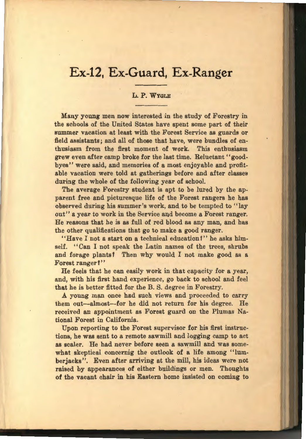# **Ex-12, Ex-Guard, Ex-Ranger**

## L. P. WYGLE

Many young men now interested in the study of Forestry in the schools of the United States have spent some part of their summer vacation at least with the Forest Service as guards or field assistants; and all of those that have, were bundles of enthusiasm from the first moment of work. This enthusiasm grew even after camp broke for the last time. Reluctant ''goodbyes'' were said, and memories of a most enjoyable and profitable vacation were told at gatherings before and after classes during the whole of the following year of school.

The average Forestry student is apt to be lured by the apparent free and picturesque life of the Forest rangers he has observed during his summer's work, and to be tempted to "lay out" a year to work in the Service and become a Forest ranger. He reasons that he is as full of red blood as any man, and has the other qualifications that go to make a good ranger.

"Have I not a start on a technical education?" he asks himself. "Can I not speak the Latin names of the trees, shrubs and forage plants? Then why would I not make good as a Forest ranger?"

He feels that he can easily work in that capacity for a year, and, with his first hand experience, go back to school and feel that he is better fitted for the B. S. degree in Forestry.

A young man once had such views and proceeded to carry them out-almost-for he did not return for his degree. He received an appointment as Forest guard on the Plumas National Forest in California.

Upon reporting to the Forest supervisor for his first instructions, he was sent to a remote sawmill and logging camp to act as scaler. He had never before seen a sawmill and was somewhat skeptical concernig the outlook of a life among "lumberjacks". Even after arriving at the mill, his ideas were not raised by appearances of either buildings or men. Thoughts of the vacant chair in his Eastern home insisted on coming to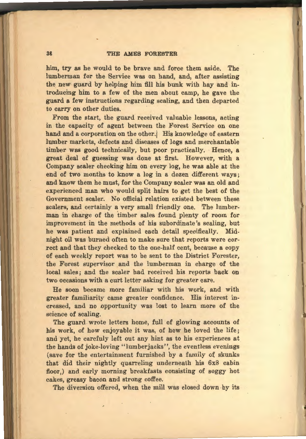### 36 THE AMES FORESTER

him, try as he would to be brave and force them aside. The lumberman for the Service was on hand, and, after assisting the new guard by helping him fill his bunk with hay and introducing him to a few of the men about camp, he gave the guard a few instructions regarding scaling, and then departed to carry on other duties.

From the start, the guard received valuable lessons, acting in the capacity of agent between the Forest Service on one hand and a corporation on the other. His knowledge of eastern lumber markets, defects and diseases of logs and merchantable timber was good technically, but poor practically. Hence, a great deal of guessing was done at first. However, with a Company scaler checking him on every log, he was able at the end of two months to know a log in a dozen different ways; and know them he must, for the Company scaler was an old and experienced man who would split hairs to get the best of the Government scaler. No official relation existed between these scalers, and certainly a very small friendly one. The lumberman in charge of the timber sales found plenty of room for improvement in the methods of his subordinate's scaling, but he was patient and explained each detail specifically. Midnight oil was burned often to make sure that reports were correct and that they checked to the one-half cent, because a copy of each weekly report was to be sent to the District Forester, the Forest supervisor and the lumberman in charge of the local sales; and the scaler had received his reports back on two occasions with a curt letter asking for greater care.

He soon became more familiar with his work, and with greater familiarity came greater confidence. His interest increased, and no opportunity was lost to learn more of the science of scaling.

The guard wrote letters home, full of glowing accounts of his work, of how enjoyable it was, of how he loved the life; and yet, he carefuly left out any hint as to his experiences at the hands of joke-loving "lumberjacks", the eventless evenings (save for the entertainment furnished by a family of skunks that did their nightly quarreling underneath his 6x8 cabin floor,) and early morning breakfasts consisting of soggy hot cakes, greasy bacon and strong coffee.

The diversion offered, when the mill was closed down by its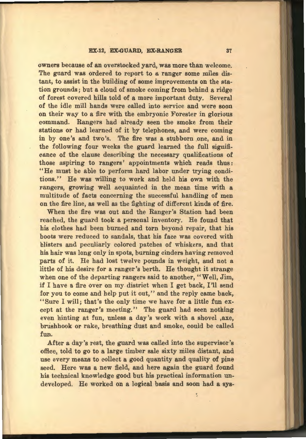#### EX-12, EX-GUARD, EX-RANGER 37

owners because of an overstocked yard, was more than welcome. The guard was ordered to report to a ranger some miles distant, to assist in the building of some improvements on the station grounds; but a cloud of smoke coming from behind a ridge of forest covered hills told of a more important duty. Several of the idle mill hands were called into service and were soon on their way to a fire with the embryonic Forester in glorious command. Rangers had already seen the smoke from their stations or had learned of it by telephones, and were coming in by one's and two's. The fire was a stubborn one, and in the following four weeks the guard learned the full signifi. cance of the clause describing the necessary qualifications of those aspiring to rangers' appointments which reads thus: ''He must be able to perform hard labor under trying conditions.'' He was willing to work and held his own with the rangers, growing well acquainted in the mean time with a multitude of facts concerning the successful handling of men on the fire line, as well as the fighting of different kinds of fire.

When the fire was out and the Ranger's Station had been reached, the guard took a personal inventory. He found that his clothes had been burned and torn beyond repair, that his boots were reduced to sandals, that his face was covered with blisters and peculiarly colored patches of whiskers, and that his hair was long only in spots, burning cinders having removed parts of it. He had lost twelve pounds in weight, and not a little of his desire for a ranger's berth. He thought it strange when one of the departing rangers said to another, "Well, Jim, if I have a fire over on my district when I get back, I'll send for you to come and help put it out," and the reply came back, "Sure I will; that's the only time we have for a little fun except at the ranger's meeting.'' The guard had seen nothing even hinting at fun, unless a day's work with a shovel ,axe, brushhook or rake, breathing dust and smoke, could be called fun.

After a day's rest, the guard was called into the supervisor's office, told to go to a large timber sale sixty miles distant, and use every means to collect a good quantity and quality of pine seed. Here was a new field, and here again the guard found his technical knowledge good but his practical information undeveloped. He worked on a logical basis and soon had a sys-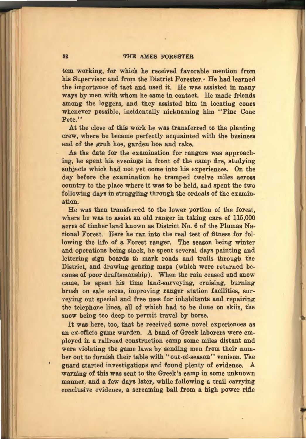#### 38 THE AMES FORESTER

tem working, for which he received favorable mention from his Supervisor and from the District Forester.• He had learned the importance of tact and used it. He was assisted in many ways by men with whom he came in contact. He made friends among the loggers, and they assisted him in locating cones whenever possible, incidentally nicknaming him ''Pine Cone Pete<sup>"</sup>

At the close of this work he was transferred to the planting crew, where he became perfectly acquainted with the business end of the grub hoe, garden hoe and rake.

As the date for the examination for rangers was approaching, he spent his evenings in front of the camp fire, studying subjects which had not yet come into his experiences. On the day before the examination he tramped twelve miles across country to the place where it was to be held, and spent the two following days in struggling through the ordeals of the examination.

He was then transferred to the lower portion of the forest, where he was to assist an old ranger in taking care of 115,000 acres of timber land known as District No. 6 of the Plumas National Forest. Here he ran into the real test of fitness for following the life of a Forest ranger. The season being winter and operations being slack, he spent several days painting and lettering sign boards to mark roads and trails through the District, and drawing grazing maps (which were returned because of poor draftsmanship). When the rain ceased and snow came, he spent his time land-surveying, cruising, burning brush on sale areas, improving ranger station facilities, surveying out special and free uses for inhabitants and repairing the telephone lines, all of which had to be done on skiis, the snow being too deep to permit travel by horse.

It was here, too, that he received some novel experiences as an ex-officio game warden. A band of Greek laborers were employed in a railroad construction camp some miles distant and were violating the game laws by sending men from their number out to furnish their table with ''out-of-season'' venison. The guard started investigations and found plenty of evidence. A warning of this was sent to the Greek's camp in some unknown manner, and a few days later, while following a trail carrying conclusive evidence, a screaming ball from a high power rifle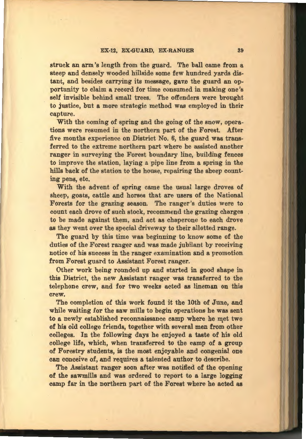#### EX-12, EX-GUARD, EX-RANGER 39

struck an arm's length from the guard. The ball came from a steep and densely wooded hillside some few hundred yards distant, and besides carrying its message, gave the guard an opportunity to claim a record for time consumed in making one's self invisible behind small trees. The offenders were brought to justice, but a more strategic method was employed in their capture.

With the coming of spring and the going of the snow, operations were resumed in the northern part of the Forest. After five months experience on District No. 6, the guard was transferred to the extreme northern part where he assisted another ranger in surveying the Forest boundary line, building fences to improve the station, laying a pipe line from a spring in the hills back of the station to the house, repairing the sheep counting pens, etc.

With the advent of spring came the usual large droves of sheep, goats, cattle and horses that are users of the National Forests for the grazing season. The ranger's duties were to count each drove of such stock, recommend the grazing charges to be made against them, and act as chaperone to each drove as they went over the special driveway to their allotted range.

The guard by this time was beginning to know some of the duties of the Forest ranger and was made jubilant by receiving notice of his success in the ranger examination and a promotion from Forest guard to Assistant Forest ranger.

Other work being rounded up and started in good shape in this District, the new Assistant ranger was transferred to the telephone crew, and for two weeks acted as lineman on this crew.

The completion of this work found it the lOth of June, and while waiting for the saw mills to begin operations he was sent to a newly established reconnaissance camp where he met two of his old college friends, together with several men from other colleges. In the following days he enjoyed a taste of his old college life, which, when transferred to the camp of a group of Forestry students, is the most enjoyable and congenial one can conceive of, and requires a talented author to describe.

The Assistant ranger soon after was notified of the opening of the sawmills and was ordered to report to a large logging camp far in the northern part of the Forest where he acted as